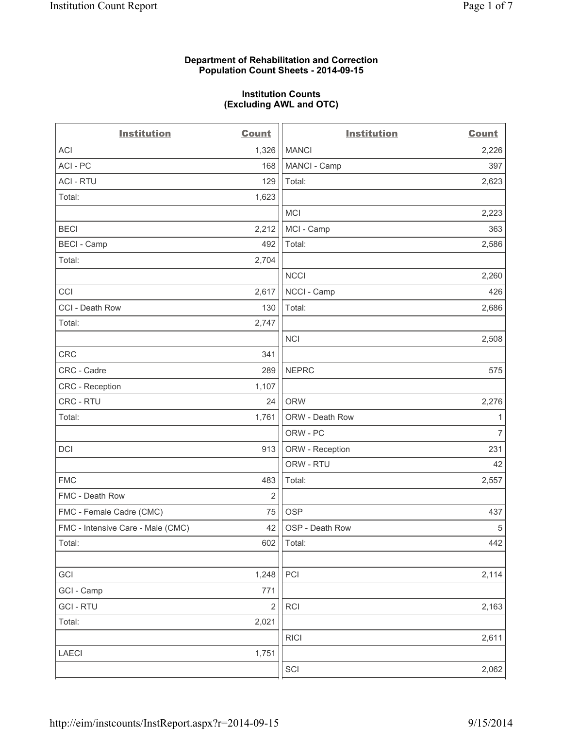# **Department of Rehabilitation and Correction Population Count Sheets - 2014-09-15**

## **Institution Counts (Excluding AWL and OTC)**

| <b>Institution</b>                | <b>Count</b>            | <b>Institution</b>          | <b>Count</b>   |
|-----------------------------------|-------------------------|-----------------------------|----------------|
| <b>ACI</b>                        | 1,326                   | <b>MANCI</b>                | 2,226          |
| ACI - PC                          | 168                     | MANCI - Camp                | 397            |
| <b>ACI - RTU</b>                  | 129                     | Total:                      | 2,623          |
| Total:                            | 1,623                   |                             |                |
|                                   |                         | <b>MCI</b>                  | 2,223          |
| <b>BECI</b>                       | 2,212                   | MCI - Camp                  | 363            |
| <b>BECI - Camp</b>                | 492                     | Total:                      | 2,586          |
| Total:                            | 2,704                   |                             |                |
|                                   |                         | <b>NCCI</b>                 | 2,260          |
| CCI                               | 2,617                   | NCCI - Camp                 | 426            |
| CCI - Death Row                   | 130                     | Total:                      | 2,686          |
| Total:                            | 2,747                   |                             |                |
|                                   |                         | <b>NCI</b>                  | 2,508          |
| <b>CRC</b>                        | 341                     |                             |                |
| CRC - Cadre                       | 289                     | <b>NEPRC</b>                | 575            |
| <b>CRC</b> - Reception            | 1,107                   |                             |                |
| CRC - RTU                         | 24                      | <b>ORW</b>                  | 2,276          |
| Total:                            | 1,761                   | ORW - Death Row             | 1              |
|                                   |                         | ORW - PC                    | $\overline{7}$ |
| <b>DCI</b>                        | 913                     | ORW - Reception             | 231            |
|                                   |                         | ORW - RTU                   | 42             |
| <b>FMC</b>                        | 483                     | Total:                      | 2,557          |
| FMC - Death Row                   | 2                       |                             |                |
| FMC - Female Cadre (CMC)          | 75                      | <b>OSP</b>                  | 437            |
| FMC - Intensive Care - Male (CMC) | 42                      | OSP - Death Row             | $\,$ 5 $\,$    |
| Total:                            | 602                     | Total:                      | 442            |
|                                   |                         |                             |                |
| GCI                               | 1,248                   | PCI                         | 2,114          |
| GCI - Camp                        | 771                     |                             |                |
| <b>GCI-RTU</b>                    | $\overline{\mathbf{c}}$ | RCI                         | 2,163          |
| Total:                            | 2,021                   |                             |                |
|                                   |                         | <b>RICI</b>                 | 2,611          |
| LAECI                             | 1,751                   |                             |                |
|                                   |                         | $\ensuremath{\mathsf{SCI}}$ | 2,062          |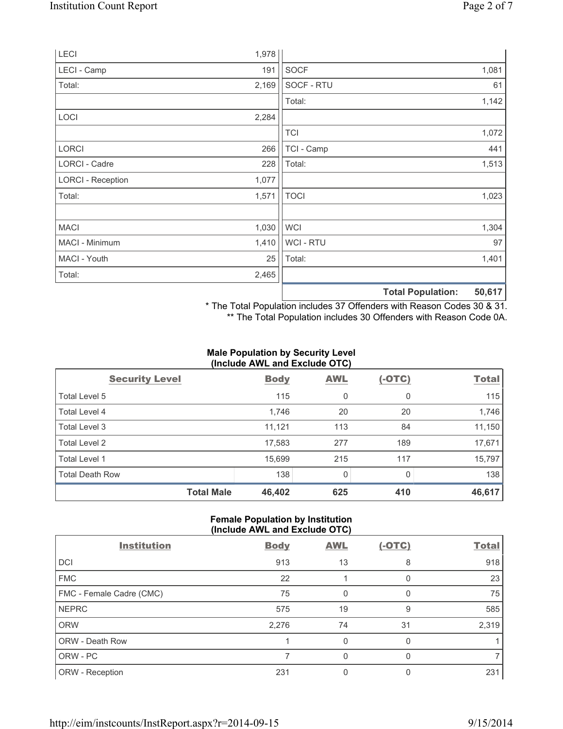|                          |       |                | <b>Total Population:</b> | 50,617 |
|--------------------------|-------|----------------|--------------------------|--------|
| Total:                   | 2,465 |                |                          |        |
| MACI - Youth             | 25    | Total:         |                          | 1,401  |
| MACI - Minimum           | 1,410 | <b>WCI-RTU</b> |                          | 97     |
| <b>MACI</b>              | 1,030 | <b>WCI</b>     |                          | 1,304  |
| Total:                   | 1,571 | <b>TOCI</b>    |                          | 1,023  |
| <b>LORCI - Reception</b> | 1,077 |                |                          |        |
| LORCI - Cadre            | 228   | Total:         |                          | 1,513  |
| <b>LORCI</b>             | 266   | TCI - Camp     |                          | 441    |
|                          |       | <b>TCI</b>     |                          | 1,072  |
| LOCI                     | 2,284 |                |                          |        |
|                          |       | Total:         |                          | 1,142  |
| Total:                   | 2,169 | SOCF - RTU     |                          | 61     |
| LECI - Camp              | 191   | <b>SOCF</b>    |                          | 1,081  |
| LECI                     | 1,978 |                |                          |        |

\* The Total Population includes 37 Offenders with Reason Codes 30 & 31.

\*\* The Total Population includes 30 Offenders with Reason Code 0A.

# **Male Population by Security Level (Include AWL and Exclude OTC)**

| $\frac{1}{2}$          |             |            |          |              |
|------------------------|-------------|------------|----------|--------------|
| <b>Security Level</b>  | <b>Body</b> | <b>AWL</b> | $(-OTC)$ | <b>Total</b> |
| Total Level 5          | 115         | 0          | 0        | 115          |
| Total Level 4          | 1,746       | 20         | 20       | 1,746        |
| Total Level 3          | 11,121      | 113        | 84       | 11,150       |
| Total Level 2          | 17,583      | 277        | 189      | 17,671       |
| Total Level 1          | 15,699      | 215        | 117      | 15,797       |
| <b>Total Death Row</b> | 138         | 0          | 0        | 138          |
| <b>Total Male</b>      | 46,402      | 625        | 410      | 46,617       |

# **Female Population by Institution (Include AWL and Exclude OTC)**

| <b>Institution</b>       | <b>Body</b> | <b>AWL</b> | $(-OTC)$ | <b>Total</b> |
|--------------------------|-------------|------------|----------|--------------|
| DCI                      | 913         | 13         | 8        | 918          |
| <b>FMC</b>               | 22          |            |          | 23           |
| FMC - Female Cadre (CMC) | 75          | 0          | 0        | 75           |
| <b>NEPRC</b>             | 575         | 19         | 9        | 585          |
| <b>ORW</b>               | 2,276       | 74         | 31       | 2,319        |
| ORW - Death Row          |             | 0          | 0        |              |
| ORW - PC                 |             | 0          | n        |              |
| ORW - Reception          | 231         |            |          | 231          |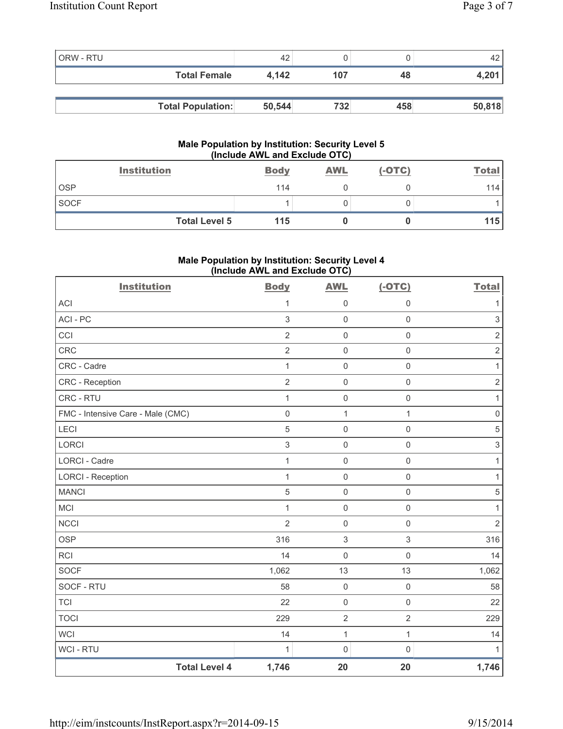| ORW - RTU |                          | 42     |     |     | 42     |
|-----------|--------------------------|--------|-----|-----|--------|
|           | <b>Total Female</b>      | 4.142  | 107 | 48  | 4,201  |
|           |                          |        |     |     |        |
|           | <b>Total Population:</b> | 50,544 | 732 | 458 | 50,818 |

# **Male Population by Institution: Security Level 5 (Include AWL and Exclude OTC)**

|             | <b>Institution</b>   | <b>Body</b> | <b>AWL</b> | $(-OTC)$ | <b>Total</b> |
|-------------|----------------------|-------------|------------|----------|--------------|
| <b>OSP</b>  |                      | 114         |            |          | 114          |
| <b>SOCF</b> |                      |             |            |          |              |
|             | <b>Total Level 5</b> | 115         |            |          | 115          |

# **Male Population by Institution: Security Level 4 (Include AWL and Exclude OTC)**

| <b>Institution</b>                | <b>Body</b>         | <b>AWL</b>          | $(-OTC)$            | <b>Total</b>              |
|-----------------------------------|---------------------|---------------------|---------------------|---------------------------|
| <b>ACI</b>                        | $\mathbf{1}$        | $\mathbf 0$         | $\mathsf 0$         | $\mathbf{1}$              |
| ACI - PC                          | $\mathfrak{S}$      | $\mathbf 0$         | $\mathbf 0$         | $\mathsf 3$               |
| CCI                               | $\overline{2}$      | $\mathsf{O}\xspace$ | $\mathsf{O}\xspace$ | $\sqrt{2}$                |
| CRC                               | $\overline{2}$      | $\mathbf 0$         | $\mathsf 0$         | $\sqrt{2}$                |
| CRC - Cadre                       | $\mathbf{1}$        | $\mathsf{O}\xspace$ | $\mathsf 0$         | 1                         |
| CRC - Reception                   | $\overline{2}$      | $\mathbf 0$         | $\mathsf{O}\xspace$ | $\sqrt{2}$                |
| CRC - RTU                         | 1                   | $\mathsf{O}\xspace$ | $\mathsf{O}\xspace$ | 1                         |
| FMC - Intensive Care - Male (CMC) | $\mathsf{O}\xspace$ | 1                   | $\mathbf{1}$        | $\mathsf 0$               |
| LECI                              | 5                   | $\mathsf{O}\xspace$ | $\mathsf{O}\xspace$ | $\sqrt{5}$                |
| <b>LORCI</b>                      | 3                   | $\mathbf 0$         | $\mathsf{O}\xspace$ | $\ensuremath{\mathsf{3}}$ |
| <b>LORCI - Cadre</b>              | $\mathbf{1}$        | $\mathsf 0$         | $\mathsf 0$         | $\mathbf{1}$              |
| <b>LORCI - Reception</b>          | 1                   | $\mathbf 0$         | $\mathsf{O}\xspace$ | 1                         |
| <b>MANCI</b>                      | 5                   | $\mathsf 0$         | $\mathsf 0$         | $\,$ 5 $\,$               |
| <b>MCI</b>                        | 1                   | $\mathbf 0$         | $\mathsf{O}\xspace$ | 1                         |
| <b>NCCI</b>                       | $\overline{2}$      | $\mathsf 0$         | $\mathsf{O}\xspace$ | $\overline{2}$            |
| <b>OSP</b>                        | 316                 | $\,$ 3 $\,$         | 3                   | 316                       |
| <b>RCI</b>                        | 14                  | $\mathbf 0$         | $\mathsf 0$         | 14                        |
| <b>SOCF</b>                       | 1,062               | 13                  | 13                  | 1,062                     |
| SOCF - RTU                        | 58                  | $\mathsf 0$         | $\mathsf{O}\xspace$ | 58                        |
| <b>TCI</b>                        | 22                  | $\mathsf 0$         | $\mathsf{O}\xspace$ | 22                        |
| <b>TOCI</b>                       | 229                 | $\overline{2}$      | $\overline{2}$      | 229                       |
| <b>WCI</b>                        | 14                  | $\mathbf{1}$        | $\mathbf{1}$        | 14                        |
| <b>WCI-RTU</b>                    | 1                   | $\mathsf{O}\xspace$ | $\mathsf{O}\xspace$ | $\mathbf{1}$              |
| <b>Total Level 4</b>              | 1,746               | 20                  | 20                  | 1,746                     |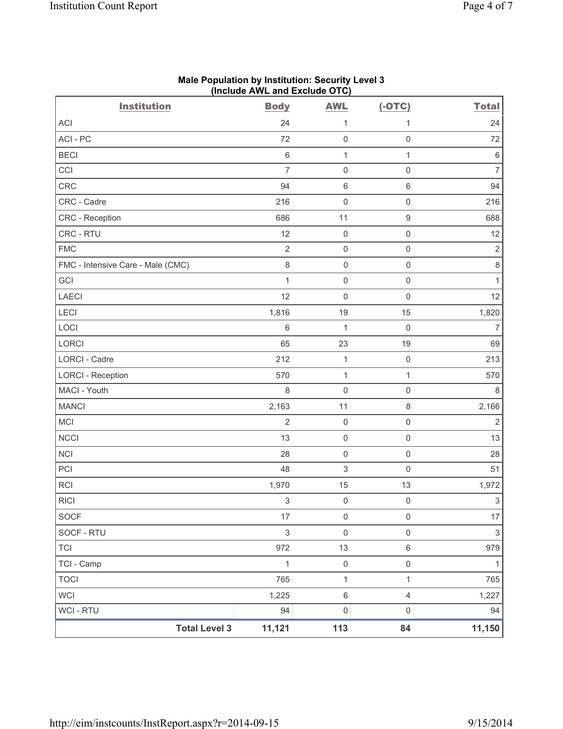| <b>Institution</b>                | (include AVVL and Exclude $O(O)$<br><b>Body</b> | <b>AWL</b>          | $(-OTC)$            | <b>Total</b>   |
|-----------------------------------|-------------------------------------------------|---------------------|---------------------|----------------|
| ACI                               | 24                                              | 1                   | 1                   | 24             |
| ACI-PC                            | 72                                              | $\mathbf 0$         | $\mathsf{O}\xspace$ | 72             |
| <b>BECI</b>                       | 6                                               | 1                   | $\mathbf{1}$        | $\,6\,$        |
| CCI                               | $\overline{7}$                                  | $\mathsf{O}\xspace$ | $\mathsf 0$         | 7              |
| <b>CRC</b>                        | 94                                              | $\,6\,$             | $\,$ 6 $\,$         | 94             |
| CRC - Cadre                       | 216                                             | $\mathsf{O}\xspace$ | $\mathsf{O}\xspace$ | 216            |
| CRC - Reception                   | 686                                             | 11                  | $\boldsymbol{9}$    | 688            |
| CRC - RTU                         | 12                                              | $\mathsf{O}\xspace$ | $\mathsf{O}\xspace$ | 12             |
| <b>FMC</b>                        | $\overline{2}$                                  | $\mathsf{O}\xspace$ | $\mathsf 0$         | $\sqrt{2}$     |
| FMC - Intensive Care - Male (CMC) | $\,8\,$                                         | $\mathbf 0$         | $\mathsf{O}\xspace$ | $\,8\,$        |
| GCI                               | $\mathbf{1}$                                    | $\mathbf 0$         | $\mathsf{O}\xspace$ | 1              |
| <b>LAECI</b>                      | 12                                              | $\mathbf 0$         | $\boldsymbol{0}$    | 12             |
| LECI                              | 1,816                                           | 19                  | 15                  | 1,820          |
| LOCI                              | $\,$ 6 $\,$                                     | 1                   | $\mathsf 0$         | $\overline{7}$ |
| LORCI                             | 65                                              | 23                  | 19                  | 69             |
| LORCI - Cadre                     | 212                                             | $\mathbf 1$         | $\mathsf 0$         | 213            |
| <b>LORCI - Reception</b>          | 570                                             | $\mathbf 1$         | $\mathbf{1}$        | 570            |
| MACI - Youth                      | 8                                               | $\mathbf 0$         | $\mathsf 0$         | 8              |
| <b>MANCI</b>                      | 2,163                                           | 11                  | 8                   | 2,166          |
| MCI                               | $\overline{2}$                                  | $\mathsf{O}\xspace$ | $\mathsf{O}\xspace$ | $\sqrt{2}$     |
| <b>NCCI</b>                       | 13                                              | $\mathbf 0$         | $\mathsf 0$         | 13             |
| <b>NCI</b>                        | 28                                              | $\mathbf 0$         | $\mathsf 0$         | 28             |
| PCI                               | 48                                              | $\sqrt{3}$          | $\mathsf{O}\xspace$ | 51             |
| <b>RCI</b>                        | 1,970                                           | 15                  | 13                  | 1,972          |
| <b>RICI</b>                       | $\ensuremath{\mathsf{3}}$                       | $\mathsf{O}\xspace$ | $\mathsf{O}\xspace$ | $\mathfrak{S}$ |
| <b>SOCF</b>                       | 17                                              | $\mathsf{O}\xspace$ | $\mathsf{O}\xspace$ | 17             |
| SOCF - RTU                        | 3                                               | $\mathsf{O}\xspace$ | $\mathsf{O}\xspace$ | $\mathfrak{S}$ |
| <b>TCI</b>                        | 972                                             | 13                  | $\,6\,$             | 979            |
| TCI - Camp                        | $\mathbf 1$                                     | $\mathsf{O}\xspace$ | $\mathsf{O}\xspace$ | $\mathbf{1}$   |
| <b>TOCI</b>                       | 765                                             | $\mathbf{1}$        | $\mathbf{1}$        | 765            |
| WCI                               | 1,225                                           | $\,6\,$             | $\overline{4}$      | 1,227          |
| <b>WCI-RTU</b>                    | 94                                              | $\mathsf{O}\xspace$ | $\mathsf{O}\xspace$ | 94             |
| <b>Total Level 3</b>              | 11,121                                          | 113                 | 84                  | 11,150         |

### **Male Population by Institution: Security Level 3 (Include AWL and Exclude OTC)**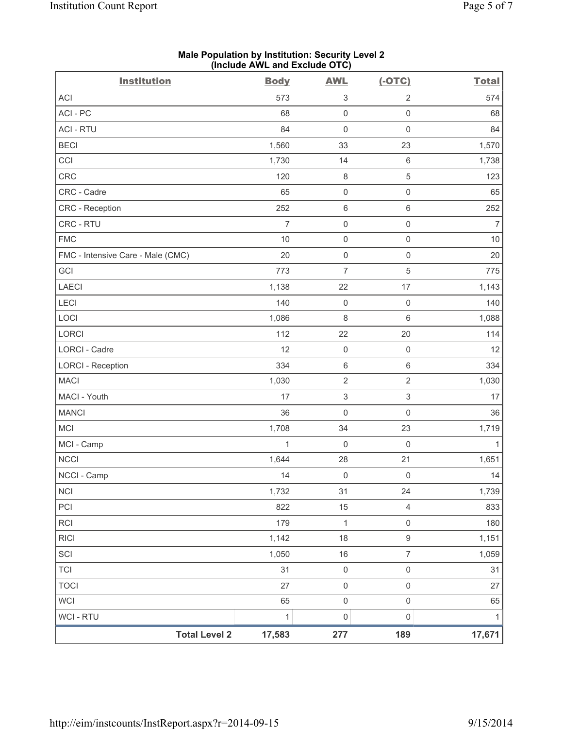| <b>Institution</b>                | (illuluut AvvL allu Exuluut OTO)<br><b>Body</b> | <b>AWL</b>                | $(-OTC)$            | <b>Total</b>   |
|-----------------------------------|-------------------------------------------------|---------------------------|---------------------|----------------|
| <b>ACI</b>                        | 573                                             | 3                         | $\sqrt{2}$          | 574            |
| ACI-PC                            | 68                                              | $\mathsf{O}\xspace$       | $\mathsf 0$         | 68             |
| <b>ACI - RTU</b>                  | 84                                              | $\mathsf 0$               | $\mathsf{O}\xspace$ | 84             |
| <b>BECI</b>                       | 1,560                                           | 33                        | 23                  | 1,570          |
| CCI                               | 1,730                                           | 14                        | $\,6\,$             | 1,738          |
| CRC                               | 120                                             | $\,8\,$                   | $\,$ 5 $\,$         | 123            |
| CRC - Cadre                       | 65                                              | $\mathbf 0$               | $\mathsf{O}\xspace$ | 65             |
| <b>CRC</b> - Reception            | 252                                             | $\,6\,$                   | $\,6\,$             | 252            |
| CRC - RTU                         | $\overline{7}$                                  | $\mathsf{O}\xspace$       | $\mathsf 0$         | $\overline{7}$ |
| <b>FMC</b>                        | $10$                                            | $\mathsf{O}\xspace$       | $\mathsf{O}\xspace$ | $10$           |
| FMC - Intensive Care - Male (CMC) | 20                                              | $\mathsf 0$               | $\mathsf 0$         | 20             |
| GCI                               | 773                                             | $\overline{7}$            | 5                   | 775            |
| <b>LAECI</b>                      | 1,138                                           | 22                        | 17                  | 1,143          |
| LECI                              | 140                                             | $\mathbf 0$               | $\mathsf 0$         | 140            |
| LOCI                              | 1,086                                           | 8                         | $\,6\,$             | 1,088          |
| LORCI                             | 112                                             | 22                        | 20                  | 114            |
| <b>LORCI - Cadre</b>              | 12                                              | $\mathsf{O}\xspace$       | $\mathsf{O}\xspace$ | 12             |
| <b>LORCI - Reception</b>          | 334                                             | $\,6\,$                   | $\,6\,$             | 334            |
| <b>MACI</b>                       | 1,030                                           | $\sqrt{2}$                | $\overline{2}$      | 1,030          |
| MACI - Youth                      | 17                                              | $\ensuremath{\mathsf{3}}$ | $\mathsf 3$         | 17             |
| <b>MANCI</b>                      | 36                                              | $\mathsf{O}\xspace$       | $\mathsf{O}\xspace$ | 36             |
| <b>MCI</b>                        | 1,708                                           | 34                        | 23                  | 1,719          |
| MCI - Camp                        | 1                                               | $\mathbf 0$               | $\mathsf 0$         | $\mathbf{1}$   |
| <b>NCCI</b>                       | 1,644                                           | 28                        | 21                  | 1,651          |
| NCCI - Camp                       | 14                                              | $\mathsf{O}\xspace$       | $\mathsf{O}\xspace$ | 14             |
| <b>NCI</b>                        | 1,732                                           | 31                        | 24                  | 1,739          |
| PCI                               | 822                                             | 15                        | $\overline{4}$      | 833            |
| <b>RCI</b>                        | 179                                             | $\mathbf{1}$              | $\mathsf{O}\xspace$ | 180            |
| <b>RICI</b>                       | 1,142                                           | 18                        | $\boldsymbol{9}$    | 1,151          |
| SCI                               | 1,050                                           | 16                        | $\overline{7}$      | 1,059          |
| <b>TCI</b>                        | 31                                              | $\mathsf{O}\xspace$       | $\mathsf{O}\xspace$ | 31             |
| <b>TOCI</b>                       | 27                                              | $\mathsf{O}\xspace$       | $\mathsf 0$         | 27             |
| <b>WCI</b>                        | 65                                              | $\mathsf{O}\xspace$       | $\mathsf{O}\xspace$ | 65             |
| <b>WCI - RTU</b>                  | $\mathbf 1$                                     | $\mathsf{O}\xspace$       | $\mathsf{O}\xspace$ | $\mathbf{1}$   |
| <b>Total Level 2</b>              | 17,583                                          | 277                       | 189                 | 17,671         |

### **Male Population by Institution: Security Level 2 (Include AWL and Exclude OTC)**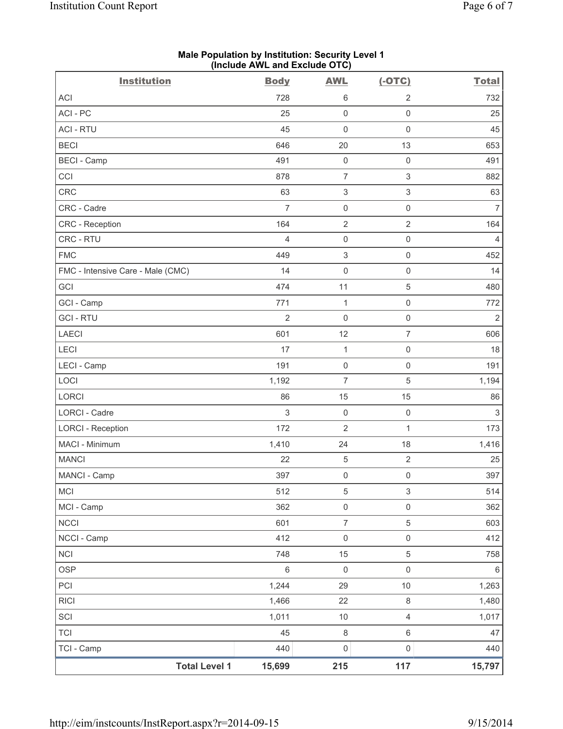|                                   | (include AVVL and Exclude OTO) |                           |                           |                |
|-----------------------------------|--------------------------------|---------------------------|---------------------------|----------------|
| <b>Institution</b>                | <b>Body</b>                    | <b>AWL</b>                | $(-OTC)$                  | <b>Total</b>   |
| <b>ACI</b>                        | 728                            | 6                         | $\sqrt{2}$                | 732            |
| ACI-PC                            | 25                             | $\mathsf 0$               | $\mathsf{O}\xspace$       | 25             |
| <b>ACI - RTU</b>                  | 45                             | $\mathsf{O}\xspace$       | $\mathsf{O}\xspace$       | 45             |
| <b>BECI</b>                       | 646                            | 20                        | 13                        | 653            |
| <b>BECI</b> - Camp                | 491                            | $\mathbf 0$               | $\mathsf{O}\xspace$       | 491            |
| CCI                               | 878                            | $\overline{7}$            | 3                         | 882            |
| CRC                               | 63                             | $\,$ 3 $\,$               | $\ensuremath{\mathsf{3}}$ | 63             |
| CRC - Cadre                       | $\overline{7}$                 | $\mathsf 0$               | $\mathsf{O}\xspace$       | $\overline{7}$ |
| CRC - Reception                   | 164                            | $\overline{2}$            | $\overline{2}$            | 164            |
| CRC - RTU                         | $\overline{4}$                 | $\mathsf{O}\xspace$       | $\mathsf{O}\xspace$       | $\overline{4}$ |
| <b>FMC</b>                        | 449                            | $\ensuremath{\mathsf{3}}$ | $\mathsf{O}\xspace$       | 452            |
| FMC - Intensive Care - Male (CMC) | 14                             | $\mathsf{O}\xspace$       | $\mathsf{O}\xspace$       | 14             |
| GCI                               | 474                            | 11                        | 5                         | 480            |
| GCI - Camp                        | 771                            | $\mathbf{1}$              | $\mathsf{O}\xspace$       | 772            |
| <b>GCI-RTU</b>                    | $\overline{2}$                 | $\mathsf{O}\xspace$       | $\mathsf 0$               | $\overline{2}$ |
| <b>LAECI</b>                      | 601                            | 12                        | $\overline{7}$            | 606            |
| LECI                              | 17                             | $\mathbf{1}$              | $\mathsf{O}\xspace$       | 18             |
| LECI - Camp                       | 191                            | $\mathbf 0$               | $\mathsf{O}\xspace$       | 191            |
| LOCI                              | 1,192                          | $\overline{7}$            | 5                         | 1,194          |
| LORCI                             | 86                             | 15                        | 15                        | 86             |
| <b>LORCI - Cadre</b>              | 3                              | $\mathbf 0$               | $\mathsf{O}\xspace$       | $\mathsf 3$    |
| <b>LORCI - Reception</b>          | 172                            | $\overline{2}$            | $\mathbf{1}$              | 173            |
| MACI - Minimum                    | 1,410                          | 24                        | 18                        | 1,416          |
| <b>MANCI</b>                      | 22                             | $\,$ 5 $\,$               | $\mathbf 2$               | 25             |
| MANCI - Camp                      | 397                            | $\mathsf{O}\xspace$       | $\mathsf{O}\xspace$       | 397            |
| <b>MCI</b>                        | 512                            | $\,$ 5 $\,$               | $\mathsf 3$               | 514            |
| MCI - Camp                        | 362                            | $\mathsf{O}\xspace$       | $\mathsf{O}\xspace$       | 362            |
| <b>NCCI</b>                       | 601                            | $\overline{7}$            | 5                         | 603            |
| NCCI - Camp                       | 412                            | $\mathsf 0$               | $\mathsf{O}\xspace$       | 412            |
| <b>NCI</b>                        | 748                            | 15                        | $\,$ 5 $\,$               | 758            |
| <b>OSP</b>                        | $\,6\,$                        | $\mathbf 0$               | $\mathsf{O}\xspace$       | $\,6\,$        |
| PCI                               | 1,244                          | 29                        | 10                        | 1,263          |
| <b>RICI</b>                       | 1,466                          | 22                        | $\,8\,$                   | 1,480          |
| SCI                               | 1,011                          | $10$                      | $\overline{4}$            | 1,017          |
| <b>TCI</b>                        | 45                             | $\,8\,$                   | $\,6\,$                   | 47             |
| TCI - Camp                        | 440                            | $\mathsf{O}\xspace$       | $\mathsf{O}\xspace$       | 440            |
| <b>Total Level 1</b>              | 15,699                         | 215                       | 117                       | 15,797         |

#### **Male Population by Institution: Security Level 1 (Include AWL and Exclude OTC)**